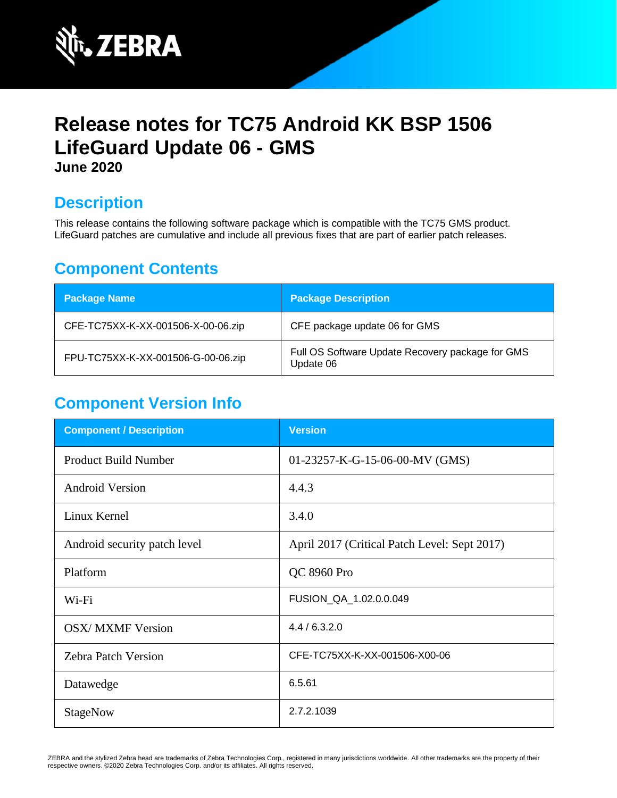

# **Release notes for TC75 Android KK BSP 1506 LifeGuard Update 06 - GMS June 2020**

## **Description**

This release contains the following software package which is compatible with the TC75 GMS product. LifeGuard patches are cumulative and include all previous fixes that are part of earlier patch releases.

## **Component Contents**

| <b>Package Name</b>                | <b>Package Description</b>                                    |
|------------------------------------|---------------------------------------------------------------|
| CFE-TC75XX-K-XX-001506-X-00-06.zip | CFE package update 06 for GMS                                 |
| FPU-TC75XX-K-XX-001506-G-00-06.zip | Full OS Software Update Recovery package for GMS<br>Update 06 |

## **Component Version Info**

| <b>Component / Description</b> | <b>Version</b>                               |
|--------------------------------|----------------------------------------------|
| <b>Product Build Number</b>    | 01-23257-K-G-15-06-00-MV (GMS)               |
| <b>Android Version</b>         | 4.4.3                                        |
| Linux Kernel                   | 3.4.0                                        |
| Android security patch level   | April 2017 (Critical Patch Level: Sept 2017) |
| Platform                       | QC 8960 Pro                                  |
| Wi-Fi                          | FUSION_QA_1.02.0.0.049                       |
| <b>OSX/ MXMF Version</b>       | 4.4/6.3.2.0                                  |
| <b>Zebra Patch Version</b>     | CFE-TC75XX-K-XX-001506-X00-06                |
| Datawedge                      | 6.5.61                                       |
| StageNow                       | 2.7.2.1039                                   |

ZEBRA and the stylized Zebra head are trademarks of Zebra Technologies Corp., registered in many jurisdictions worldwide. All other trademarks are the property of their respective owners. ©2020 Zebra Technologies Corp. and/or its affiliates. All rights reserved.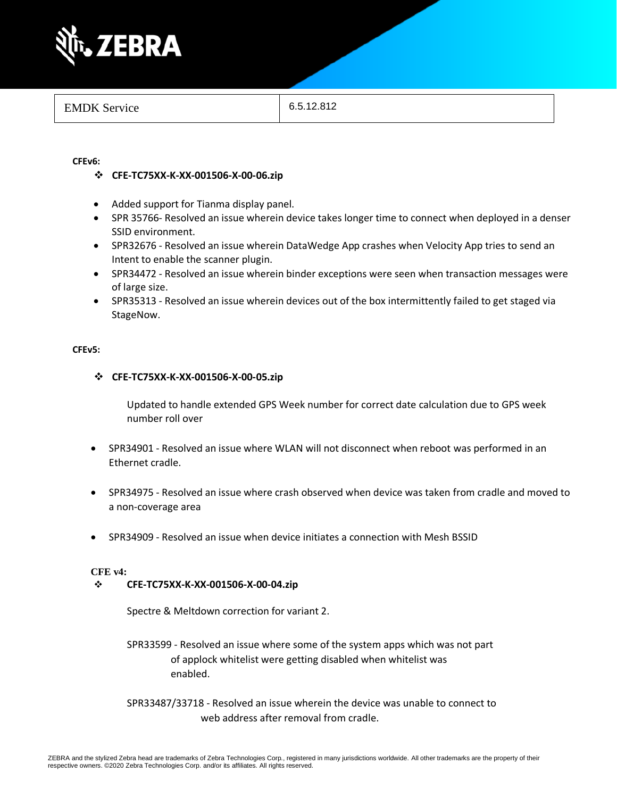

#### **CFEv6:**

- ❖ **CFE-TC75XX-K-XX-001506-X-00-06.zip**
- Added support for Tianma display panel.
- SPR 35766- Resolved an issue wherein device takes longer time to connect when deployed in a denser SSID environment.
- SPR32676 Resolved an issue wherein DataWedge App crashes when Velocity App tries to send an Intent to enable the scanner plugin.
- SPR34472 Resolved an issue wherein binder exceptions were seen when transaction messages were of large size.
- SPR35313 Resolved an issue wherein devices out of the box intermittently failed to get staged via StageNow.

#### **CFEv5:**

#### ❖ **CFE-TC75XX-K-XX-001506-X-00-05.zip**

Updated to handle extended GPS Week number for correct date calculation due to GPS week number roll over

- SPR34901 Resolved an issue where WLAN will not disconnect when reboot was performed in an Ethernet cradle.
- SPR34975 Resolved an issue where crash observed when device was taken from cradle and moved to a non-coverage area
- SPR34909 Resolved an issue when device initiates a connection with Mesh BSSID

#### **CFE v4:**

#### ❖ **CFE-TC75XX-K-XX-001506-X-00-04.zip**

Spectre & Meltdown correction for variant 2.

- SPR33599 Resolved an issue where some of the system apps which was not part of applock whitelist were getting disabled when whitelist was enabled.
- SPR33487/33718 Resolved an issue wherein the device was unable to connect to web address after removal from cradle.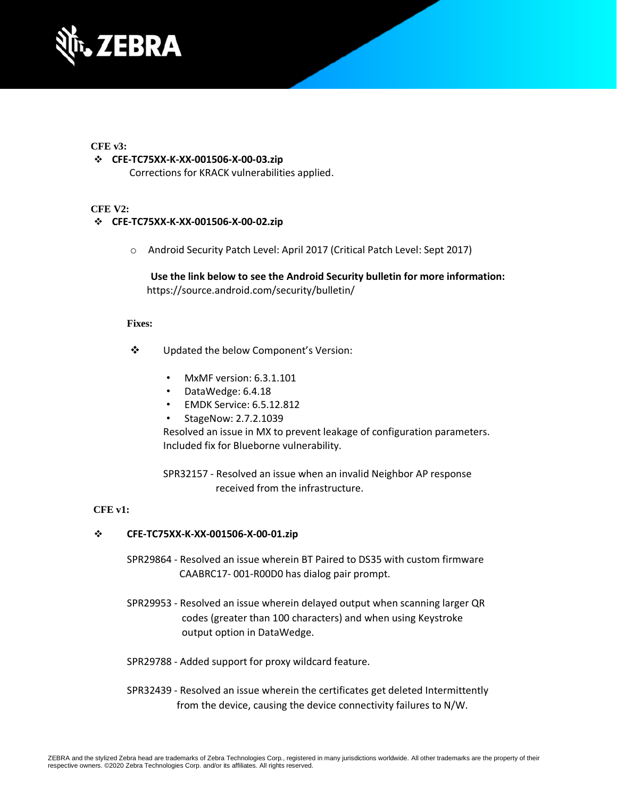

#### **CFE v3:**

#### ❖ **CFE-TC75XX-K-XX-001506-X-00-03.zip**

Corrections for KRACK vulnerabilities applied.

#### **CFE V2:**

#### ❖ **CFE-TC75XX-K-XX-001506-X-00-02.zip**

o Android Security Patch Level: April 2017 (Critical Patch Level: Sept 2017)

**Use the link below to see the Android Security bulletin for more information:** <https://source.android.com/security/bulletin/>

#### **Fixes:**

- ❖ Updated the below Component's Version:
	- MxMF version: 6.3.1.101
	- DataWedge: 6.4.18
	- EMDK Service: 6.5.12.812
	- StageNow: 2.7.2.1039

Resolved an issue in MX to prevent leakage of configuration parameters. Included fix for Blueborne vulnerability.

SPR32157 - Resolved an issue when an invalid Neighbor AP response received from the infrastructure.

#### **CFE v1:**

#### ❖ **CFE-TC75XX-K-XX-001506-X-00-01.zip**

SPR29864 - Resolved an issue wherein BT Paired to DS35 with custom firmware CAABRC17- 001-R00D0 has dialog pair prompt.

- SPR29953 Resolved an issue wherein delayed output when scanning larger QR codes (greater than 100 characters) and when using Keystroke output option in DataWedge.
- SPR29788 Added support for proxy wildcard feature.
- SPR32439 Resolved an issue wherein the certificates get deleted Intermittently from the device, causing the device connectivity failures to N/W.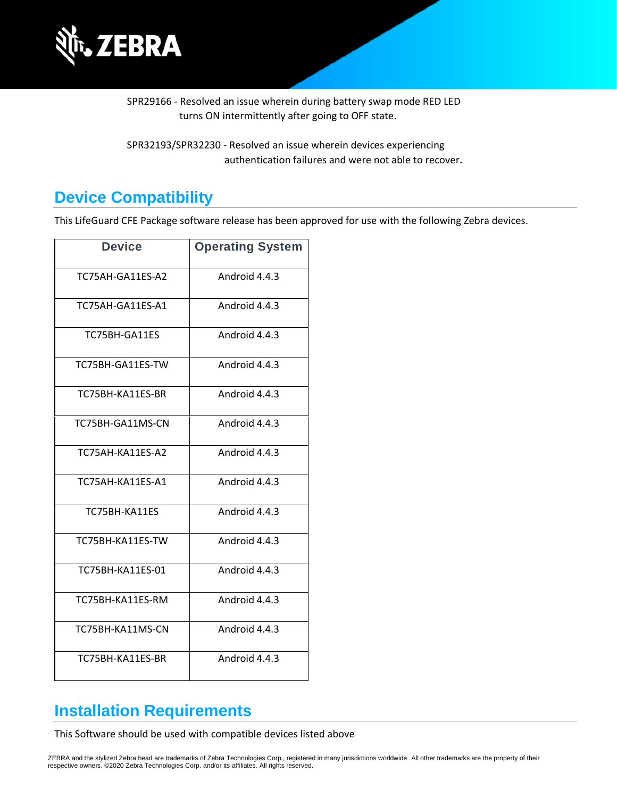

SPR29166 - Resolved an issue wherein during battery swap mode RED LED turns ON intermittently after going to OFF state.

SPR32193/SPR32230 - Resolved an issue wherein devices experiencing authentication failures and were not able to recover**.**

## **Device Compatibility**

This LifeGuard CFE Package software release has been approved for use with the following Zebra devices.

| <b>Device</b>    | <b>Operating System</b> |
|------------------|-------------------------|
| TC75AH-GA11ES-A2 | Android 4.4.3           |
| TC75AH-GA11ES-A1 | Android 4.4.3           |
| TC75BH-GA11ES    | Android 4.4.3           |
| TC75BH-GA11ES-TW | Android 4.4.3           |
| TC75BH-KA11ES-BR | Android 4.4.3           |
| TC75BH-GA11MS-CN | Android 4.4.3           |
| TC75AH-KA11ES-A2 | Android 4.4.3           |
| TC75AH-KA11ES-A1 | Android 4.4.3           |
| TC75BH-KA11ES    | Android 4.4.3           |
| TC75BH-KA11ES-TW | Android 4.4.3           |
| TC75BH-KA11ES-01 | Android 4.4.3           |
| TC75BH-KA11ES-RM | Android 4.4.3           |
| TC75BH-KA11MS-CN | Android 4.4.3           |
| TC75BH-KA11ES-BR | Android 4.4.3           |

## **Installation Requirements**

This Software should be used with compatible devices listed above